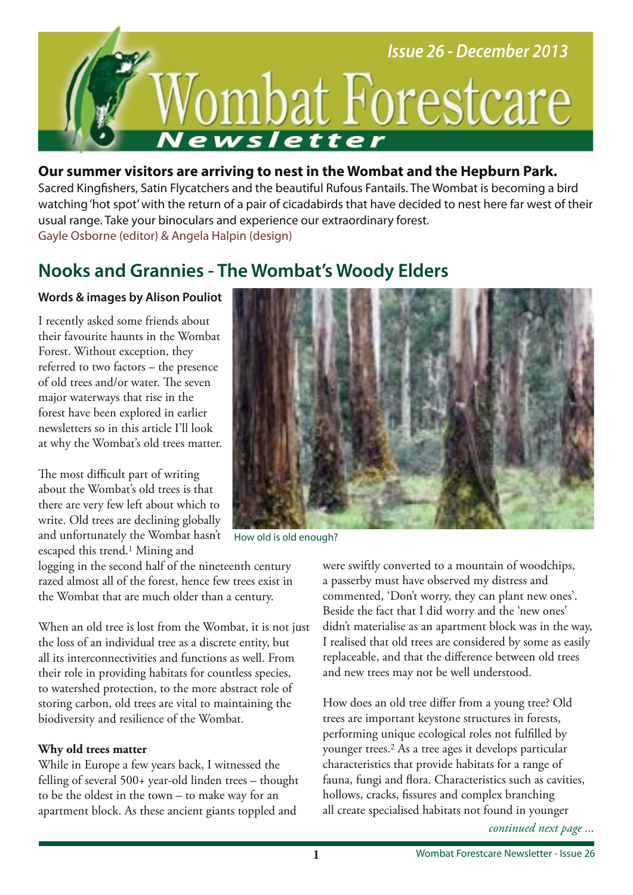

# **Our summer visitors are arriving to nest in the Wombat and the Hepburn Park.**

Sacred Kingfshers, Satin Flycatchers and the beautiful Rufous Fantails. The Wombat is becoming a bird watching 'hot spot' with the return of a pair of cicadabirds that have decided to nest here far west of their usual range. Take your binoculars and experience our extraordinary forest. Gayle Osborne (editor) & Angela Halpin (design)

# **Nooks and Grannies - The Wombat's Woody Elders**

## **Words & images by Alison Pouliot**

I recently asked some friends about their favourite haunts in the Wombat Forest. Without exception, they referred to two factors – the presence of old trees and/or water. The seven major waterways that rise in the forest have been explored in earlier newsletters so in this article I'll look at why the Wombat's old trees matter.

The most difficult part of writing about the Wombat's old trees is that there are very few left about which to write. Old trees are declining globally and unfortunately the Wombat hasn't escaped this trend.<sup>1</sup> Mining and

logging in the second half of the nineteenth century razed almost all of the forest, hence few trees exist in the Wombat that are much older than a century.

When an old tree is lost from the Wombat, it is not just the loss of an individual tree as a discrete entity, but all its interconnectivities and functions as well. From their role in providing habitats for countless species, to watershed protection, to the more abstract role of storing carbon, old trees are vital to maintaining the biodiversity and resilience of the Wombat.

### **Why old trees matter**

While in Europe a few years back, I witnessed the felling of several 500+ year-old linden trees – thought to be the oldest in the town – to make way for an apartment block. As these ancient giants toppled and



How old is old enough?

were swiftly converted to a mountain of woodchips, a passerby must have observed my distress and commented, 'Don't worry, they can plant new ones'. Beside the fact that I did worry and the 'new ones' didn't materialise as an apartment block was in the way, I realised that old trees are considered by some as easily replaceable, and that the diference between old trees and new trees may not be well understood.

How does an old tree difer from a young tree? Old trees are important keystone structures in forests, performing unique ecological roles not fulflled by younger trees.2 As a tree ages it develops particular characteristics that provide habitats for a range of fauna, fungi and fora. Characteristics such as cavities, hollows, cracks, fssures and complex branching all create specialised habitats not found in younger

*continued next page ...*

**1**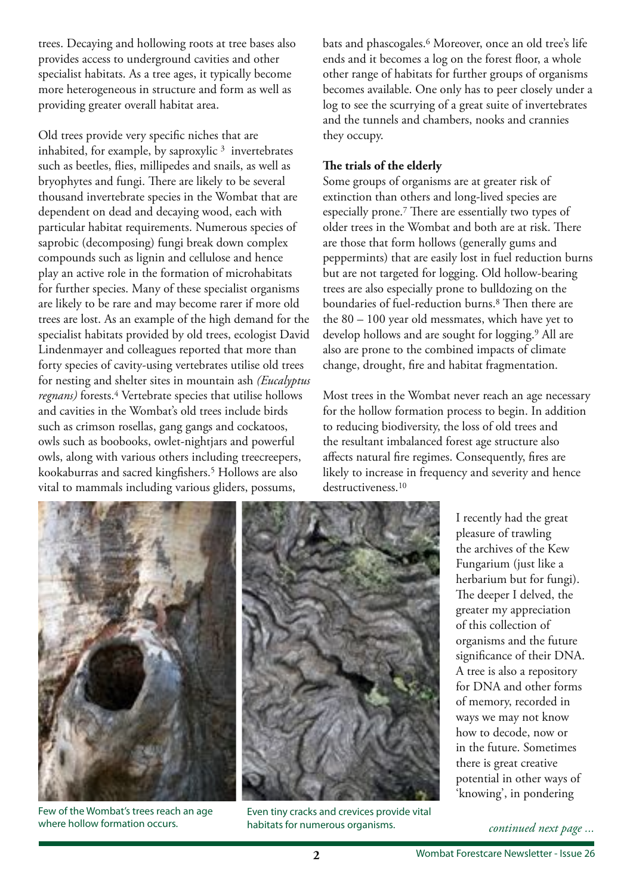trees. Decaying and hollowing roots at tree bases also provides access to underground cavities and other specialist habitats. As a tree ages, it typically become more heterogeneous in structure and form as well as providing greater overall habitat area.

Old trees provide very specifc niches that are inhabited, for example, by saproxylic  $3$  invertebrates such as beetles, fies, millipedes and snails, as well as bryophytes and fungi. There are likely to be several thousand invertebrate species in the Wombat that are dependent on dead and decaying wood, each with particular habitat requirements. Numerous species of saprobic (decomposing) fungi break down complex compounds such as lignin and cellulose and hence play an active role in the formation of microhabitats for further species. Many of these specialist organisms are likely to be rare and may become rarer if more old trees are lost. As an example of the high demand for the specialist habitats provided by old trees, ecologist David Lindenmayer and colleagues reported that more than forty species of cavity-using vertebrates utilise old trees for nesting and shelter sites in mountain ash *(Eucalyptus regnans*) forests.<sup>4</sup> Vertebrate species that utilise hollows and cavities in the Wombat's old trees include birds such as crimson rosellas, gang gangs and cockatoos, owls such as boobooks, owlet-nightjars and powerful owls, along with various others including treecreepers, kookaburras and sacred kingfshers.5 Hollows are also vital to mammals including various gliders, possums,

bats and phascogales.<sup>6</sup> Moreover, once an old tree's life ends and it becomes a log on the forest foor, a whole other range of habitats for further groups of organisms becomes available. One only has to peer closely under a log to see the scurrying of a great suite of invertebrates and the tunnels and chambers, nooks and crannies they occupy.

#### The trials of the elderly

Some groups of organisms are at greater risk of extinction than others and long-lived species are especially prone.<sup>7</sup> There are essentially two types of older trees in the Wombat and both are at risk. There are those that form hollows (generally gums and peppermints) that are easily lost in fuel reduction burns but are not targeted for logging. Old hollow-bearing trees are also especially prone to bulldozing on the boundaries of fuel-reduction burns.<sup>8</sup> Then there are the 80 – 100 year old messmates, which have yet to develop hollows and are sought for logging.9 All are also are prone to the combined impacts of climate change, drought, fre and habitat fragmentation.

Most trees in the Wombat never reach an age necessary for the hollow formation process to begin. In addition to reducing biodiversity, the loss of old trees and the resultant imbalanced forest age structure also afects natural fre regimes. Consequently, fres are likely to increase in frequency and severity and hence destructiveness.<sup>10</sup>



Few of the Wombat's trees reach an age where hollow formation occurs.



Even tiny cracks and crevices provide vital habitats for numerous organisms.

I recently had the great pleasure of trawling the archives of the Kew Fungarium (just like a herbarium but for fungi). The deeper I delved, the greater my appreciation of this collection of organisms and the future signifcance of their DNA. A tree is also a repository for DNA and other forms of memory, recorded in ways we may not know how to decode, now or in the future. Sometimes there is great creative potential in other ways of 'knowing', in pondering

*continued next page ...*